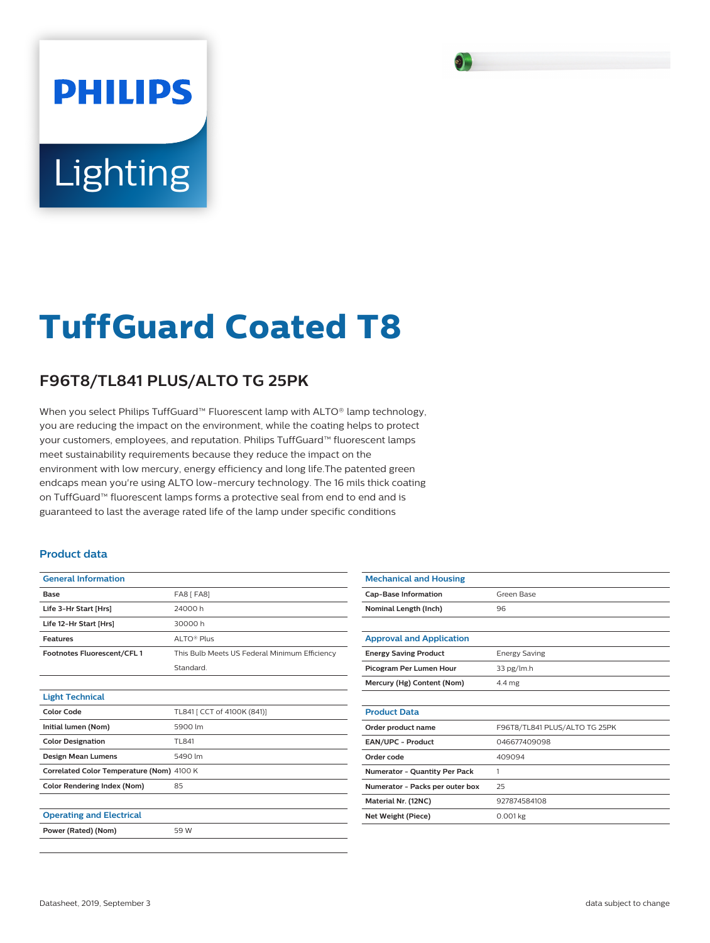# **PHILIPS** Lighting

# **TuffGuard Coated T8**

## **F96T8/TL841 PLUS/ALTO TG 25PK**

When you select Philips TuffGuard™ Fluorescent lamp with ALTO® lamp technology, you are reducing the impact on the environment, while the coating helps to protect your customers, employees, and reputation. Philips TuffGuard™ fluorescent lamps meet sustainability requirements because they reduce the impact on the environment with low mercury, energy efficiency and long life.The patented green endcaps mean you're using ALTO low-mercury technology. The 16 mils thick coating on TuffGuard™ fluorescent lamps forms a protective seal from end to end and is guaranteed to last the average rated life of the lamp under specific conditions

#### **Product data**

| <b>General Information</b>                |                                               |
|-------------------------------------------|-----------------------------------------------|
| Base                                      | <b>FA8 [ FA8]</b>                             |
| Life 3-Hr Start [Hrs]                     | 24000 h                                       |
| Life 12-Hr Start [Hrs]                    | 30000 h                                       |
| <b>Features</b>                           | ALTO <sup>®</sup> Plus                        |
| Footnotes Fluorescent/CFL1                | This Bulb Meets US Federal Minimum Efficiency |
|                                           | Standard.                                     |
|                                           |                                               |
| <b>Light Technical</b>                    |                                               |
| <b>Color Code</b>                         | TL841 [ CCT of 4100K (841)]                   |
| Initial lumen (Nom)                       | 5900 lm                                       |
| <b>Color Designation</b>                  | TI 841                                        |
| <b>Design Mean Lumens</b>                 | 5490 lm                                       |
| Correlated Color Temperature (Nom) 4100 K |                                               |
| <b>Color Rendering Index (Nom)</b>        | 85                                            |
|                                           |                                               |
| <b>Operating and Electrical</b>           |                                               |
| Power (Rated) (Nom)                       | 59 W                                          |
|                                           |                                               |

| <b>Mechanical and Housing</b>        |                               |
|--------------------------------------|-------------------------------|
| <b>Cap-Base Information</b>          | Green Base                    |
| Nominal Length (Inch)                | 96                            |
|                                      |                               |
| <b>Approval and Application</b>      |                               |
| <b>Energy Saving Product</b>         | <b>Energy Saving</b>          |
| Picogram Per Lumen Hour              | 33 pg/lm.h                    |
| Mercury (Hg) Content (Nom)           | 4.4 mg                        |
|                                      |                               |
| <b>Product Data</b>                  |                               |
| Order product name                   | F96T8/TL841 PLUS/ALTO TG 25PK |
| <b>EAN/UPC - Product</b>             | 046677409098                  |
| Order code                           | 409094                        |
| <b>Numerator - Quantity Per Pack</b> | 1                             |
| Numerator - Packs per outer box      | 25                            |
| Material Nr. (12NC)                  | 927874584108                  |
| Net Weight (Piece)                   | $0.001$ kg                    |
|                                      |                               |

 $\mathbf{S}_{\mathbf{L}}$